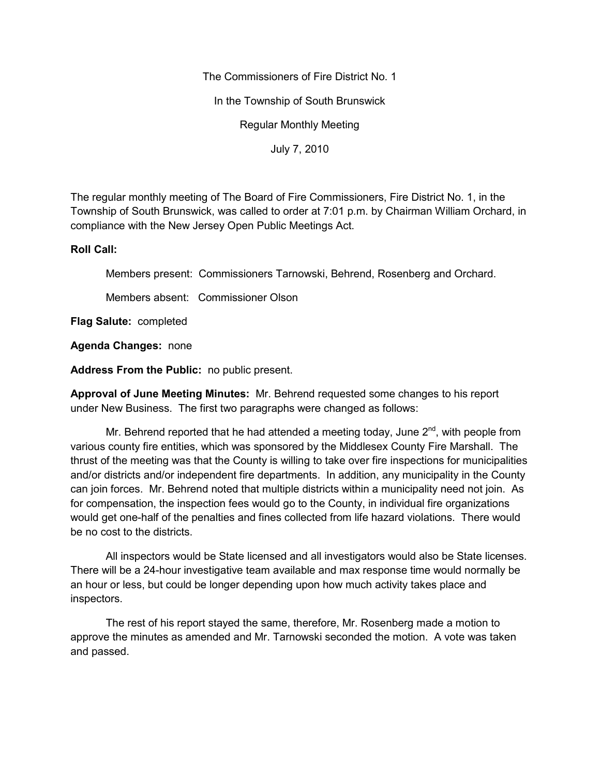The Commissioners of Fire District No. 1

In the Township of South Brunswick

Regular Monthly Meeting

July 7, 2010

The regular monthly meeting of The Board of Fire Commissioners, Fire District No. 1, in the Township of South Brunswick, was called to order at 7:01 p.m. by Chairman William Orchard, in compliance with the New Jersey Open Public Meetings Act.

#### **Roll Call:**

Members present: Commissioners Tarnowski, Behrend, Rosenberg and Orchard.

Members absent: Commissioner Olson

**Flag Salute:** completed

**Agenda Changes:** none

**Address From the Public:** no public present.

**Approval of June Meeting Minutes:** Mr. Behrend requested some changes to his report under New Business. The first two paragraphs were changed as follows:

Mr. Behrend reported that he had attended a meeting today, June  $2^{nd}$ , with people from various county fire entities, which was sponsored by the Middlesex County Fire Marshall. The thrust of the meeting was that the County is willing to take over fire inspections for municipalities and/or districts and/or independent fire departments. In addition, any municipality in the County can join forces. Mr. Behrend noted that multiple districts within a municipality need not join. As for compensation, the inspection fees would go to the County, in individual fire organizations would get one-half of the penalties and fines collected from life hazard violations. There would be no cost to the districts.

All inspectors would be State licensed and all investigators would also be State licenses. There will be a 24-hour investigative team available and max response time would normally be an hour or less, but could be longer depending upon how much activity takes place and inspectors.

The rest of his report stayed the same, therefore, Mr. Rosenberg made a motion to approve the minutes as amended and Mr. Tarnowski seconded the motion. A vote was taken and passed.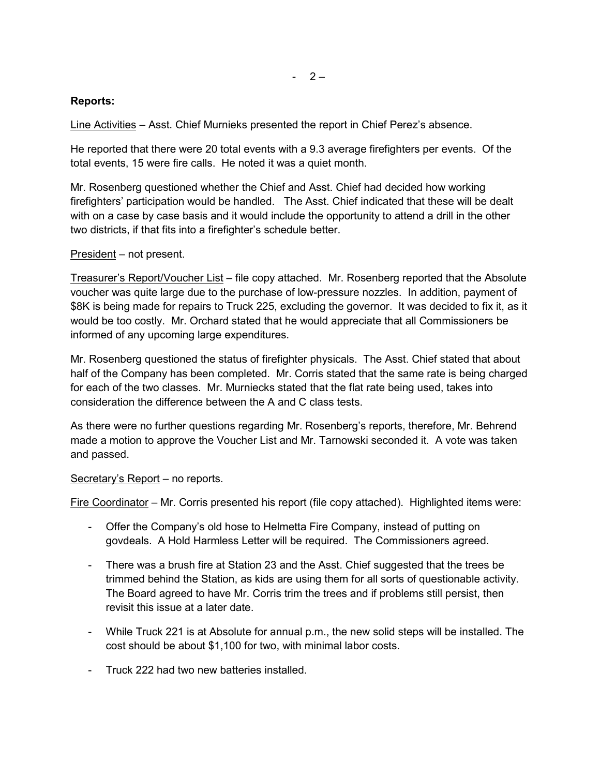# $- 2 -$

## **Reports:**

Line Activities – Asst. Chief Murnieks presented the report in Chief Perez's absence.

He reported that there were 20 total events with a 9.3 average firefighters per events. Of the total events, 15 were fire calls. He noted it was a quiet month.

Mr. Rosenberg questioned whether the Chief and Asst. Chief had decided how working firefighters' participation would be handled. The Asst. Chief indicated that these will be dealt with on a case by case basis and it would include the opportunity to attend a drill in the other two districts, if that fits into a firefighter's schedule better.

#### President – not present.

Treasurer's Report/Voucher List – file copy attached. Mr. Rosenberg reported that the Absolute voucher was quite large due to the purchase of low-pressure nozzles. In addition, payment of \$8K is being made for repairs to Truck 225, excluding the governor. It was decided to fix it, as it would be too costly. Mr. Orchard stated that he would appreciate that all Commissioners be informed of any upcoming large expenditures.

Mr. Rosenberg questioned the status of firefighter physicals. The Asst. Chief stated that about half of the Company has been completed. Mr. Corris stated that the same rate is being charged for each of the two classes. Mr. Murniecks stated that the flat rate being used, takes into consideration the difference between the A and C class tests.

As there were no further questions regarding Mr. Rosenberg's reports, therefore, Mr. Behrend made a motion to approve the Voucher List and Mr. Tarnowski seconded it. A vote was taken and passed.

## Secretary's Report – no reports.

Fire Coordinator – Mr. Corris presented his report (file copy attached). Highlighted items were:

- Offer the Company's old hose to Helmetta Fire Company, instead of putting on govdeals. A Hold Harmless Letter will be required. The Commissioners agreed.
- There was a brush fire at Station 23 and the Asst. Chief suggested that the trees be trimmed behind the Station, as kids are using them for all sorts of questionable activity. The Board agreed to have Mr. Corris trim the trees and if problems still persist, then revisit this issue at a later date.
- While Truck 221 is at Absolute for annual p.m., the new solid steps will be installed. The cost should be about \$1,100 for two, with minimal labor costs.
- Truck 222 had two new batteries installed.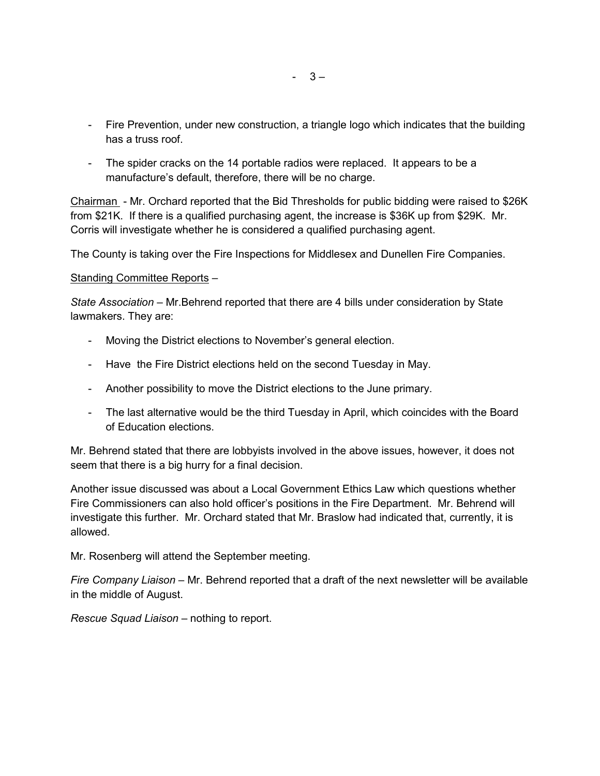- Fire Prevention, under new construction, a triangle logo which indicates that the building has a truss roof.
- The spider cracks on the 14 portable radios were replaced. It appears to be a manufacture's default, therefore, there will be no charge.

Chairman - Mr. Orchard reported that the Bid Thresholds for public bidding were raised to \$26K from \$21K. If there is a qualified purchasing agent, the increase is \$36K up from \$29K. Mr. Corris will investigate whether he is considered a qualified purchasing agent.

The County is taking over the Fire Inspections for Middlesex and Dunellen Fire Companies.

## Standing Committee Reports –

*State Association –* Mr.Behrend reported that there are 4 bills under consideration by State lawmakers. They are:

- Moving the District elections to November's general election.
- Have the Fire District elections held on the second Tuesday in May.
- Another possibility to move the District elections to the June primary.
- The last alternative would be the third Tuesday in April, which coincides with the Board of Education elections.

Mr. Behrend stated that there are lobbyists involved in the above issues, however, it does not seem that there is a big hurry for a final decision.

Another issue discussed was about a Local Government Ethics Law which questions whether Fire Commissioners can also hold officer's positions in the Fire Department. Mr. Behrend will investigate this further. Mr. Orchard stated that Mr. Braslow had indicated that, currently, it is allowed.

Mr. Rosenberg will attend the September meeting.

*Fire Company Liaison –* Mr. Behrend reported that a draft of the next newsletter will be available in the middle of August.

*Rescue Squad Liaison –* nothing to report.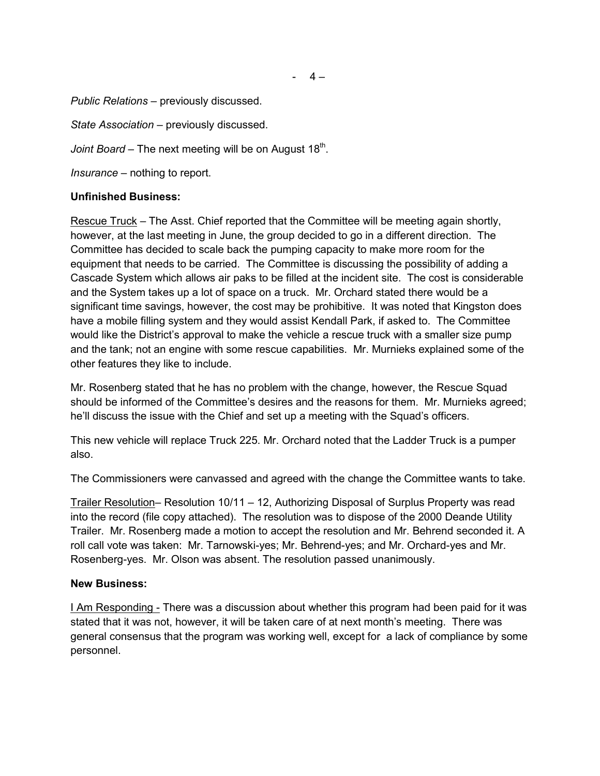#### *Public Relations –* previously discussed.

*State Association –* previously discussed.

*Joint Board* – The next meeting will be on August 18<sup>th</sup>.

*Insurance –* nothing to report.

## **Unfinished Business:**

Rescue Truck – The Asst. Chief reported that the Committee will be meeting again shortly, however, at the last meeting in June, the group decided to go in a different direction. The Committee has decided to scale back the pumping capacity to make more room for the equipment that needs to be carried. The Committee is discussing the possibility of adding a Cascade System which allows air paks to be filled at the incident site. The cost is considerable and the System takes up a lot of space on a truck. Mr. Orchard stated there would be a significant time savings, however, the cost may be prohibitive. It was noted that Kingston does have a mobile filling system and they would assist Kendall Park, if asked to. The Committee would like the District's approval to make the vehicle a rescue truck with a smaller size pump and the tank; not an engine with some rescue capabilities. Mr. Murnieks explained some of the other features they like to include.

Mr. Rosenberg stated that he has no problem with the change, however, the Rescue Squad should be informed of the Committee's desires and the reasons for them. Mr. Murnieks agreed; he'll discuss the issue with the Chief and set up a meeting with the Squad's officers.

This new vehicle will replace Truck 225. Mr. Orchard noted that the Ladder Truck is a pumper also.

The Commissioners were canvassed and agreed with the change the Committee wants to take.

Trailer Resolution– Resolution 10/11 – 12, Authorizing Disposal of Surplus Property was read into the record (file copy attached). The resolution was to dispose of the 2000 Deande Utility Trailer. Mr. Rosenberg made a motion to accept the resolution and Mr. Behrend seconded it. A roll call vote was taken: Mr. Tarnowski-yes; Mr. Behrend-yes; and Mr. Orchard-yes and Mr. Rosenberg-yes. Mr. Olson was absent. The resolution passed unanimously.

## **New Business:**

**I Am Responding - There was a discussion about whether this program had been paid for it was** stated that it was not, however, it will be taken care of at next month's meeting. There was general consensus that the program was working well, except for a lack of compliance by some personnel.